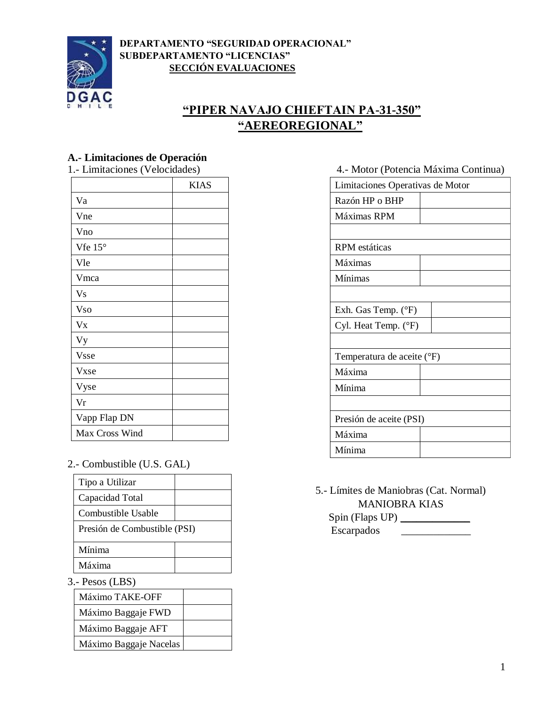



# **"PIPER NAVAJO CHIEFTAIN PA-31-350" "AEREOREGIONAL"**

# **A.- Limitaciones de Operación**

|                  | <b>KIAS</b> |
|------------------|-------------|
| Va               |             |
| Vne              |             |
| Vno              |             |
| Vfe $15^{\circ}$ |             |
| Vle              |             |
| Vmca             |             |
| V <sub>S</sub>   |             |
| <b>Vso</b>       |             |
| $V_{X}$          |             |
| Vy               |             |
| Vsse             |             |
| Vxse             |             |
| Vyse             |             |
| Vr               |             |
| Vapp Flap DN     |             |
| Max Cross Wind   |             |

2.- Combustible (U.S. GAL)

| Presión de Combustible (PSI) |  |
|------------------------------|--|
|                              |  |
|                              |  |
|                              |  |

3.- Pesos (LBS)

| Máximo TAKE-OFF        |  |
|------------------------|--|
| Máximo Baggaje FWD     |  |
| Máximo Baggaje AFT     |  |
| Máximo Baggaje Nacelas |  |

#### 4.- Motor (Potencia Máxima Continua)

| Limitaciones Operativas de Motor |  |
|----------------------------------|--|
| Razón HP o BHP                   |  |
| Máximas RPM                      |  |
|                                  |  |
| RPM estáticas                    |  |
| Máximas                          |  |
| Mínimas                          |  |
|                                  |  |
| Exh. Gas Temp. $(^{\circ}F)$     |  |
| Cyl. Heat Temp. (°F)             |  |
|                                  |  |
| Temperatura de aceite (°F)       |  |
| Máxima                           |  |
| Mínima                           |  |
|                                  |  |
| Presión de aceite (PSI)          |  |
| Máxima                           |  |
| Mínima                           |  |

5.- Límites de Maniobras (Cat. Normal) MANIOBRA KIAS

Spin (Flaps UP) \_\_\_\_\_\_\_\_\_\_\_\_\_ Escarpados \_\_\_\_\_\_\_\_\_\_\_\_\_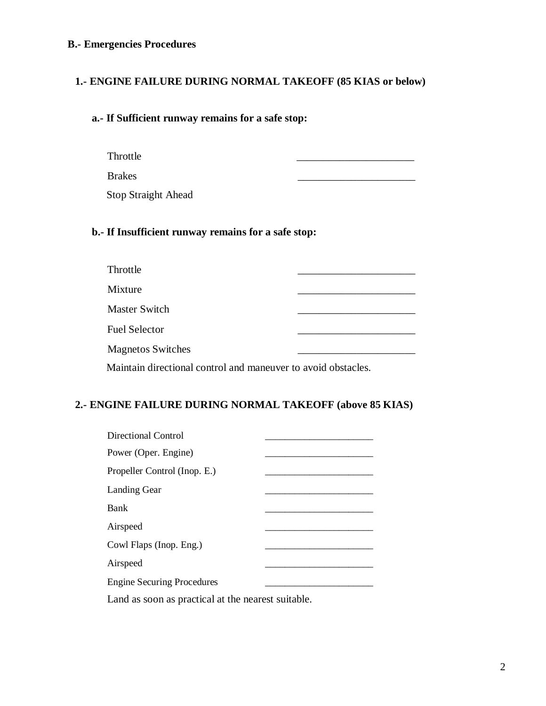#### **B.- Emergencies Procedures**

#### **1.- ENGINE FAILURE DURING NORMAL TAKEOFF (85 KIAS or below)**

#### **a.- If Sufficient runway remains for a safe stop:**

Throttle \_\_\_\_\_\_\_\_\_\_\_\_\_\_\_\_\_\_\_\_\_\_

Brakes \_\_\_\_\_\_\_\_\_\_\_\_\_\_\_\_\_\_\_\_\_\_

Stop Straight Ahead

#### **b.- If Insufficient runway remains for a safe stop:**

| Throttle                                                      |  |
|---------------------------------------------------------------|--|
| Mixture                                                       |  |
| <b>Master Switch</b>                                          |  |
| <b>Fuel Selector</b>                                          |  |
| <b>Magnetos Switches</b>                                      |  |
| Maintain directional control and maneuver to avoid obstacles. |  |

### **2.- ENGINE FAILURE DURING NORMAL TAKEOFF (above 85 KIAS)**

| Directional Control                                |  |
|----------------------------------------------------|--|
| Power (Oper. Engine)                               |  |
| Propeller Control (Inop. E.)                       |  |
| <b>Landing Gear</b>                                |  |
| Bank                                               |  |
| Airspeed                                           |  |
| Cowl Flaps (Inop. Eng.)                            |  |
| Airspeed                                           |  |
| <b>Engine Securing Procedures</b>                  |  |
| Land as soon as practical at the nearest suitable. |  |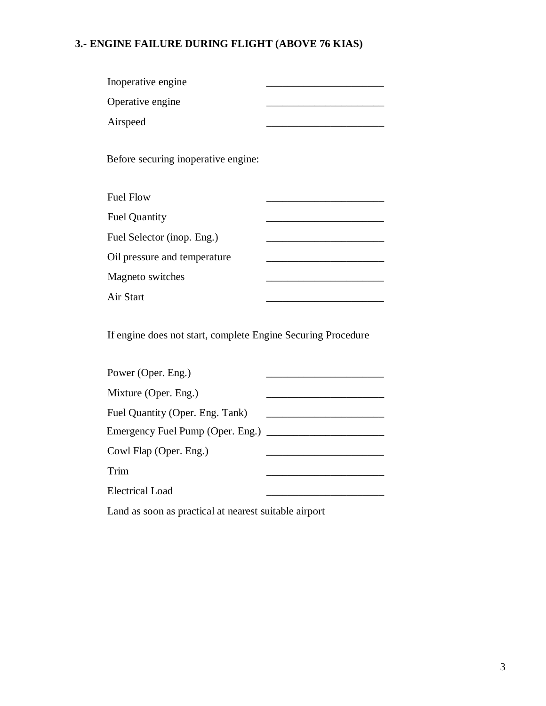# **3.- ENGINE FAILURE DURING FLIGHT (ABOVE 76 KIAS)**

| Inoperative engine                                           |  |
|--------------------------------------------------------------|--|
| Operative engine                                             |  |
| Airspeed                                                     |  |
| Before securing inoperative engine:                          |  |
| <b>Fuel Flow</b>                                             |  |
| <b>Fuel Quantity</b>                                         |  |
| Fuel Selector (inop. Eng.)                                   |  |
| Oil pressure and temperature                                 |  |
| Magneto switches                                             |  |
| Air Start                                                    |  |
| If engine does not start, complete Engine Securing Procedure |  |

| Power (Oper. Eng.)                 |  |
|------------------------------------|--|
| Mixture (Oper. Eng.)               |  |
| Fuel Quantity (Oper. Eng. Tank)    |  |
| Emergency Fuel Pump (Oper. Eng.) _ |  |
| Cowl Flap (Oper. Eng.)             |  |
| Trim                               |  |
| Electrical Load                    |  |

Land as soon as practical at nearest suitable airport